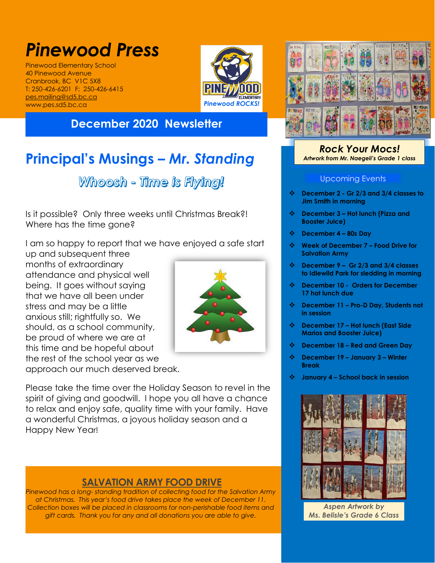# *Pinewood Press*

Pinewood Elementary School 40 Pinewood Avenue Cranbrook, BC V1C 5X8 T: 250-426-6201 F: 250-426-6415 [pes.mailing@sd5.bc.ca](mailto:pes.mailing@sd5.bc.ca) www.pes.sd5.bc.ca



## **December 2020 Newsletter**

## **Principal's Musings –** *Mr. Standing*

Whoosh - Time is Flying!

Is it possible? Only three weeks until Christmas Break?! Where has the time gone?

I am so happy to report that we have enjoyed a safe start

up and subsequent three months of extraordinary attendance and physical well being. It goes without saying that we have all been under stress and may be a little anxious still; rightfully so. We should, as a school community, be proud of where we are at this time and be hopeful about the rest of the school year as we



approach our much deserved break.

Please take the time over the Holiday Season to revel in the spirit of giving and goodwill. I hope you all have a chance to relax and enjoy safe, quality time with your family. Have a wonderful Christmas, a joyous holiday season and a Happy New Year!

## **SALVATION ARMY FOOD DRIVE**

*Pinewood has a long- standing tradition of collecting food for the Salvation Army at Christmas. This year's food drive takes place the week of December 11. Collection boxes will be placed in classrooms for non-perishable food items and gift cards. Thank you for any and all donations you are able to give.*



#### *Rock Your Mocs! Artwork from Mr. Naegeli's Grade 1 class*

#### Upcoming Events

- **December 2 - Gr 2/3 and 3/4 classes to Jim Smith in morning**
- **December 3 – Hot lunch (Pizza and Booster Juice)**
- **December 4 – 80s Day**
- **Week of December 7 – Food Drive for Salvation Army**
- **December 9 – Gr 2/3 and 3/4 classes to Idlewild Park for sledding in morning**
- **December 10 Orders for December 17 hot lunch due**
- **December 11 – Pro-D Day, Students not in session**
- **December 17 – Hot lunch (East Side Marios and Booster Juice)**
- **December 18 – Red and Green Day**
- **December 19 – January 3 – Winter Break**
- **January 4 – School back in session**



*Aspen Artwork by Ms. Belisle's Grade 6 Class*